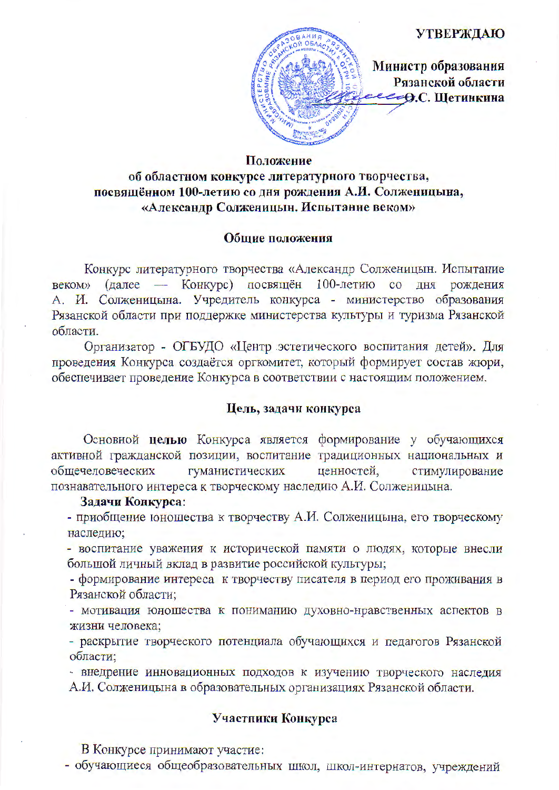## **УТВЕРЖДАЮ**



Министр образования Рязанской области -Ө.С. Шетинкина

# Положение

# об областном конкурсе литературного творчества, посвящённом 100-летию со дня рождения А.И. Солженицына, «Александр Солженицын. Испытание веком»

## Общие положения

Конкурс литературного творчества «Александр Солженицын. Испытание веком» (далее — Конкурс) посвящён 100-летию со дня рождения А. И. Солженицына. Учредитель конкурса - министерство образования Рязанской области при поддержке министерства культуры и туризма Рязанской области.

Организатор - ОГБУДО «Центр эстетического воспитания детей». Для проведения Конкурса создаётся оргкомитет, который формирует состав жюри, обеспечивает проведение Конкурса в соответствии с настоящим положением.

# Цель, задачи конкурса

Основной целью Конкурса является формирование у обучающихся активной гражданской позиции, воспитание традиционных национальных и общечеловеческих гуманистических ценностей, стимулирование познавательного интереса к творческому наследию А.И. Солженицына.

#### Задачи Конкурса:

- приобщение юношества к творчеству А.И. Солженицына, его творческому наследию:

- воспитание уважения к исторической памяти о людях, которые внесли большой личный вклад в развитие российской культуры;

- формирование интереса к творчеству писателя в период его проживания в Рязанской области:

- мотивация юношества к пониманию духовно-нравственных аспектов в жизни человека;

- раскрытие творческого потенциала обучающихся и педагогов Рязанской области:

- внедрение инновационных подходов к изучению творческого наследия А.И. Солженицына в образовательных организациях Рязанской области.

# Участники Конкурса

В Конкурсе принимают участие:

- обучающиеся общеобразовательных школ, школ-интернатов, учреждений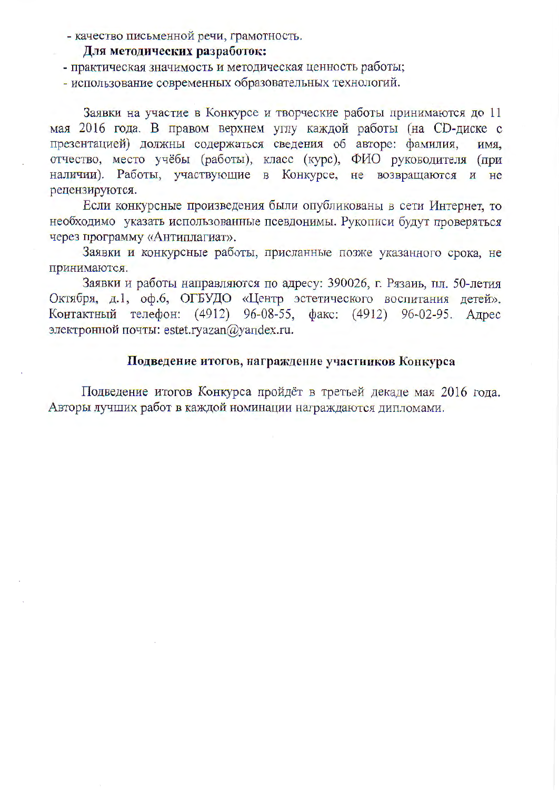- качество письменной речи, грамотность.

## Для методических разработок:

- практическая значимость и методическая ценность работы;

- использование современных образовательных технологий.

Заявки на участие в Конкурсе и творческие работы принимаются до 11 мая 2016 года. В правом верхнем углу каждой работы (на СD-диске с презентацией) должны содержаться сведения об авторе: фамилия, имя. отчество, место учёбы (работы), класс (курс), ФИО руководителя (при наличии). Работы, участвующие в Конкурсе, не возвращаются и не рецензируются.

Если конкурсные произведения были опубликованы в сети Интернет, то необходимо указать использованные псевдонимы. Рукописи будут проверяться через программу «Антиплагиат».

Заявки и конкурсные работы, присланные позже указанного срока, не принимаются.

Заявки и работы направляются по адресу: 390026, г. Рязаиь, пл. 50-летия Октября, д.1, оф.6, ОГБУДО «Центр эстетического воспитания детей». Контактный телефон: (4912) 96-08-55, факс: (4912) 96-02-95. Адрес электронной почты: estet.ryazan@yandex.ru.

# Подведение итогов, награждение участников Конкурса

Подведение итогов Конкурса пройдёт в третьей декаде мая 2016 года. Авторы лучших работ в каждой номинации награждаются дипломами.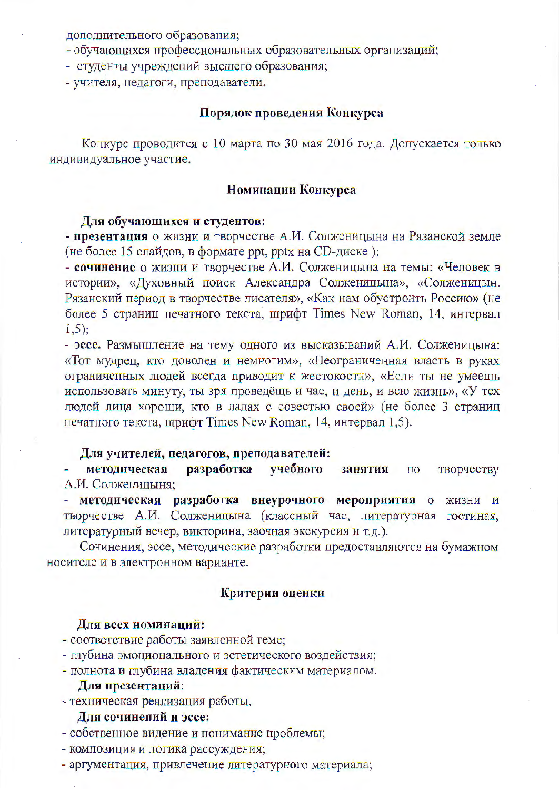дополнительного образования;

- обучающихся профессиональных образовательных организаций;

- студенты учреждений высшего образования;

- учителя, педагоги, преподаватели.

#### Порядок проведения Конкурса

Конкурс проводится с 10 марта по 30 мая 2016 года. Допускается только индивидуальное участие.

## Номинации Конкурса

#### Для обучающихся и студентов:

- презентация о жизни и творчестве А.И. Солженицына на Рязанской земле (не более 15 слайдов, в формате ppt, pptx на CD-диске);

- сочинение о жизни и творчестве А.И. Солженицына на темы: «Человек в истории», «Духовный поиск Александра Солженицына», «Солженицын. Рязанский период в творчестве писателя», «Как нам обустроить Россию» (не более 5 страниц печатного текста, шрифт Times New Roman, 14, интервал  $1,5$ :

- эссе. Размышление на тему одного из высказываний А.И. Солжеиицына: «Тот мудрец, кто доволен и немногим», «Неограниченная власть в руках ограниченных людей всегда приводит к жестокости», «Если ты не умеешь использовать минуту, ты зря проведёщь и час, и день, и всю жизнь», «У тех людей лица хорощи, кто в ладах с совестью своей» (не более 3 страниц печатного текста, шрифт Times New Roman, 14, интервал 1,5).

#### Для учителей, педагогов, преподавателей:

учебного методическая разработка творчеству занятия по А.И. Солженицына;

методическая разработка внеурочного мероприятия о жизни и творчестве А.И. Солженицына (классный час, литературная гостиная, литературный вечер, викторина, заочная экскурсия и т.д.).

Сочинения, эссе, методические разработки предоставляются на бумажном носителе и в электронном варианте.

## Критерии оценки

#### Для всех номипаций:

- соответствие работы заявленной теме;

- глубина эмоционального и эстетического воздействия;
- полнота и глубина владения фактическим материалом.

# Для презентаций:

- техническая реализация работы.

# Для сочинений и эссе:

- собственное видение и понимание проблемы;

- композиция и логика рассуждения;

- аргументация, привлечение литературного материала;